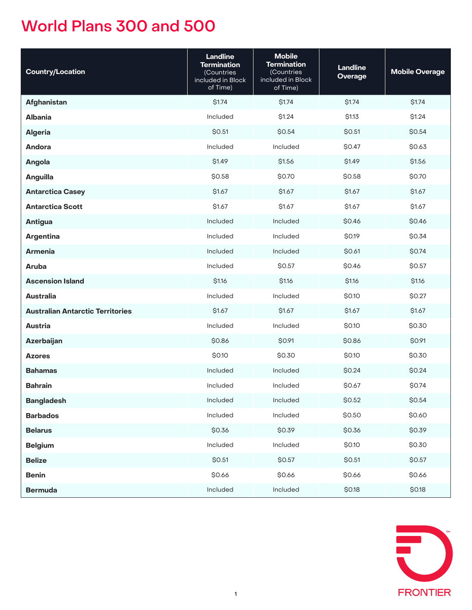| <b>Country/Location</b>                 | <b>Landline</b><br><b>Termination</b><br>(Countries<br>included in Block<br>of Time) | <b>Mobile</b><br><b>Termination</b><br>(Countries<br>included in Block<br>of Time) | <b>Landline</b><br><b>Overage</b> | <b>Mobile Overage</b> |
|-----------------------------------------|--------------------------------------------------------------------------------------|------------------------------------------------------------------------------------|-----------------------------------|-----------------------|
| Afghanistan                             | \$1.74                                                                               | \$1.74                                                                             | \$1.74                            | \$1.74                |
| <b>Albania</b>                          | Included                                                                             | \$1.24                                                                             | \$1.13                            | \$1.24                |
| <b>Algeria</b>                          | \$0.51                                                                               | \$0.54                                                                             | \$0.51                            | \$0.54                |
| Andora                                  | Included                                                                             | Included                                                                           | \$0.47                            | \$0.63                |
| Angola                                  | \$1.49                                                                               | \$1.56                                                                             | \$1.49                            | \$1.56                |
| Anguilla                                | \$0.58                                                                               | \$0.70                                                                             | \$0.58                            | \$0.70                |
| <b>Antarctica Casey</b>                 | \$1.67                                                                               | \$1.67                                                                             | \$1.67                            | \$1.67                |
| <b>Antarctica Scott</b>                 | \$1.67                                                                               | \$1.67                                                                             | \$1.67                            | \$1.67                |
| <b>Antigua</b>                          | Included                                                                             | Included                                                                           | \$0.46                            | \$0.46                |
| <b>Argentina</b>                        | Included                                                                             | Included                                                                           | \$0.19                            | \$0.34                |
| <b>Armenia</b>                          | Included                                                                             | Included                                                                           | \$0.61                            | \$0.74                |
| Aruba                                   | Included                                                                             | \$0.57                                                                             | \$0.46                            | \$0.57                |
| <b>Ascension Island</b>                 | \$1.16                                                                               | \$1.16                                                                             | \$1.16                            | \$1.16                |
| <b>Australia</b>                        | Included                                                                             | Included                                                                           | \$0.10                            | \$0.27                |
| <b>Australian Antarctic Territories</b> | \$1.67                                                                               | \$1.67                                                                             | \$1.67                            | \$1.67                |
| <b>Austria</b>                          | Included                                                                             | Included                                                                           | \$0.10                            | \$0.30                |
| Azerbaijan                              | \$0.86                                                                               | \$0.91                                                                             | \$0.86                            | \$0.91                |
| <b>Azores</b>                           | \$0.10                                                                               | \$0.30                                                                             | \$0.10                            | \$0.30                |
| <b>Bahamas</b>                          | Included                                                                             | Included                                                                           | \$0.24                            | \$0.24                |
| <b>Bahrain</b>                          | Included                                                                             | Included                                                                           | \$0.67                            | \$0.74                |
| <b>Bangladesh</b>                       | Included                                                                             | Included                                                                           | \$0.52                            | \$0.54                |
| <b>Barbados</b>                         | Included                                                                             | Included                                                                           | \$0.50                            | \$0.60                |
| <b>Belarus</b>                          | \$0.36                                                                               | \$0.39                                                                             | \$0.36                            | \$0.39                |
| <b>Belgium</b>                          | Included                                                                             | Included                                                                           | \$0.10                            | \$0.30                |
| <b>Belize</b>                           | \$0.51                                                                               | \$0.57                                                                             | \$0.51                            | \$0.57                |
| <b>Benin</b>                            | \$0.66                                                                               | \$0.66                                                                             | \$0.66                            | \$0.66                |
| <b>Bermuda</b>                          | Included                                                                             | Included                                                                           | \$0.18                            | \$0.18                |

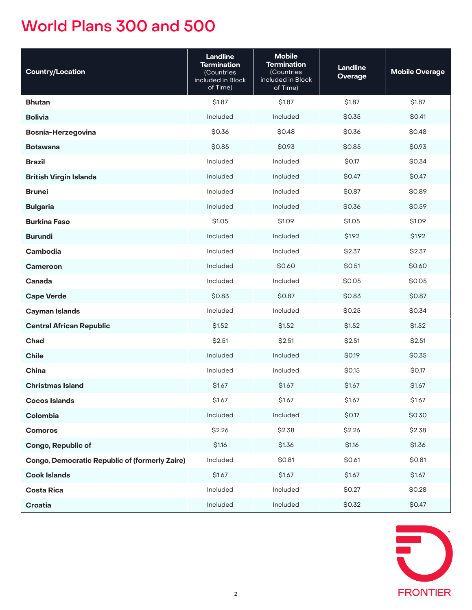| <b>Country/Location</b>                               | <b>Landline</b><br><b>Termination</b><br>(Countries<br>included in Block<br>of Time) | <b>Mobile</b><br><b>Termination</b><br>(Countries<br>included in Block<br>of Time) | <b>Landline</b><br><b>Overage</b> | <b>Mobile Overage</b> |
|-------------------------------------------------------|--------------------------------------------------------------------------------------|------------------------------------------------------------------------------------|-----------------------------------|-----------------------|
| <b>Bhutan</b>                                         | \$1.87                                                                               | \$1.87                                                                             | \$1.87                            | \$1.87                |
| <b>Bolivia</b>                                        | Included                                                                             | Included                                                                           | \$0.35                            | \$0.41                |
| <b>Bosnia-Herzegovina</b>                             | \$0.36                                                                               | \$0.48                                                                             | \$0.36                            | \$0.48                |
| <b>Botswana</b>                                       | \$0.85                                                                               | \$0.93                                                                             | \$0.85                            | \$0.93                |
| <b>Brazil</b>                                         | Included                                                                             | Included                                                                           | \$0.17                            | \$0.34                |
| <b>British Virgin Islands</b>                         | Included                                                                             | Included                                                                           | \$0.47                            | \$0.47                |
| <b>Brunei</b>                                         | Included                                                                             | Included                                                                           | \$0.87                            | \$0.89                |
| <b>Bulgaria</b>                                       | Included                                                                             | Included                                                                           | \$0.36                            | \$0.59                |
| <b>Burkina Faso</b>                                   | \$1.05                                                                               | \$1.09                                                                             | \$1.05                            | \$1.09                |
| <b>Burundi</b>                                        | Included                                                                             | Included                                                                           | \$1.92                            | \$1.92                |
| Cambodia                                              | Included                                                                             | Included                                                                           | \$2.37                            | \$2.37                |
| <b>Cameroon</b>                                       | Included                                                                             | \$0.60                                                                             | \$0.51                            | \$0.60                |
| Canada                                                | Included                                                                             | Included                                                                           | \$0.05                            | \$0.05                |
| <b>Cape Verde</b>                                     | \$0.83                                                                               | \$0.87                                                                             | \$0.83                            | \$0.87                |
| <b>Cayman Islands</b>                                 | Included                                                                             | Included                                                                           | \$0.25                            | \$0.34                |
| <b>Central African Republic</b>                       | \$1.52                                                                               | \$1.52                                                                             | \$1.52                            | \$1.52                |
| Chad                                                  | \$2.51                                                                               | \$2.51                                                                             | \$2.51                            | \$2.51                |
| <b>Chile</b>                                          | Included                                                                             | Included                                                                           | \$0.19                            | \$0.35                |
| China                                                 | Included                                                                             | Included                                                                           | \$0.15                            | \$0.17                |
| <b>Christmas Island</b>                               | \$1.67                                                                               | \$1.67                                                                             | \$1.67                            | \$1.67                |
| <b>Cocos Islands</b>                                  | \$1.67                                                                               | \$1.67                                                                             | \$1.67                            | \$1.67                |
| Colombia                                              | Included                                                                             | Included                                                                           | \$0.17                            | \$0.30                |
| <b>Comoros</b>                                        | \$2.26                                                                               | \$2.38                                                                             | \$2.26                            | \$2.38                |
| <b>Congo, Republic of</b>                             | \$1.16                                                                               | \$1.36                                                                             | \$1.16                            | \$1.36                |
| <b>Congo, Democratic Republic of (formerly Zaire)</b> | Included                                                                             | \$0.81                                                                             | \$0.61                            | \$0.81                |
| <b>Cook Islands</b>                                   | \$1.67                                                                               | \$1.67                                                                             | \$1.67                            | \$1.67                |
| <b>Costa Rica</b>                                     | Included                                                                             | Included                                                                           | \$0.27                            | \$0.28                |
| <b>Croatia</b>                                        | Included                                                                             | Included                                                                           | \$0.32                            | \$0.47                |

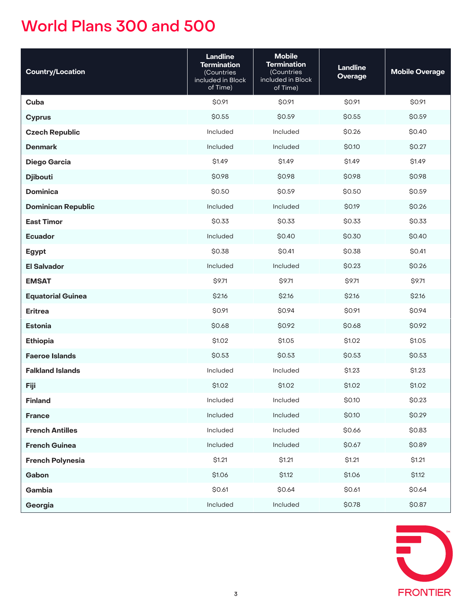| <b>Country/Location</b>   | <b>Landline</b><br><b>Termination</b><br>(Countries<br>included in Block<br>of Time) | <b>Mobile</b><br><b>Termination</b><br>(Countries<br>included in Block<br>of Time) | <b>Landline</b><br><b>Overage</b> | <b>Mobile Overage</b> |
|---------------------------|--------------------------------------------------------------------------------------|------------------------------------------------------------------------------------|-----------------------------------|-----------------------|
| Cuba                      | \$0.91                                                                               | \$0.91                                                                             | \$0.91                            | \$0.91                |
| <b>Cyprus</b>             | \$0.55                                                                               | \$0.59                                                                             | \$0.55                            | \$0.59                |
| <b>Czech Republic</b>     | Included                                                                             | Included                                                                           | \$0.26                            | \$0.40                |
| <b>Denmark</b>            | Included                                                                             | Included                                                                           | \$0.10                            | \$0.27                |
| <b>Diego Garcia</b>       | \$1.49                                                                               | \$1.49                                                                             | \$1.49                            | \$1.49                |
| <b>Djibouti</b>           | \$0.98                                                                               | \$0.98                                                                             | \$0.98                            | \$0.98                |
| <b>Dominica</b>           | \$0.50                                                                               | \$0.59                                                                             | \$0.50                            | \$0.59                |
| <b>Dominican Republic</b> | Included                                                                             | Included                                                                           | \$0.19                            | \$0.26                |
| <b>East Timor</b>         | \$0.33                                                                               | \$0.33                                                                             | \$0.33                            | \$0.33                |
| <b>Ecuador</b>            | Included                                                                             | \$0.40                                                                             | \$0.30                            | \$0.40                |
| <b>Egypt</b>              | \$0.38                                                                               | \$0.41                                                                             | \$0.38                            | \$0.41                |
| <b>El Salvador</b>        | Included                                                                             | Included                                                                           | \$0.23                            | \$0.26                |
| <b>EMSAT</b>              | \$9.71                                                                               | \$9.71                                                                             | \$9.71                            | \$9.71                |
| <b>Equatorial Guinea</b>  | \$2.16                                                                               | \$2.16                                                                             | \$2.16                            | \$2.16                |
| <b>Eritrea</b>            | \$0.91                                                                               | \$0.94                                                                             | \$0.91                            | \$0.94                |
| <b>Estonia</b>            | \$0.68                                                                               | \$0.92                                                                             | \$0.68                            | \$0.92                |
| <b>Ethiopia</b>           | \$1.02                                                                               | \$1.05                                                                             | \$1.02                            | \$1.05                |
| <b>Faeroe Islands</b>     | \$0.53                                                                               | \$0.53                                                                             | \$0.53                            | \$0.53                |
| <b>Falkland Islands</b>   | Included                                                                             | Included                                                                           | \$1.23                            | \$1.23                |
| Fiji                      | \$1.02                                                                               | \$1.02                                                                             | \$1.02                            | \$1.02                |
| <b>Finland</b>            | Included                                                                             | Included                                                                           | \$0.10                            | \$0.23                |
| <b>France</b>             | Included                                                                             | Included                                                                           | \$0.10                            | \$0.29                |
| <b>French Antilles</b>    | Included                                                                             | Included                                                                           | \$0.66                            | \$0.83                |
| <b>French Guinea</b>      | Included                                                                             | Included                                                                           | \$0.67                            | \$0.89                |
| <b>French Polynesia</b>   | \$1.21                                                                               | \$1.21                                                                             | \$1.21                            | \$1.21                |
| Gabon                     | \$1.06                                                                               | \$1.12                                                                             | \$1.06                            | \$1.12                |
| Gambia                    | \$0.61                                                                               | \$0.64                                                                             | \$0.61                            | \$0.64                |
| Georgia                   | Included                                                                             | Included                                                                           | \$0.78                            | \$0.87                |

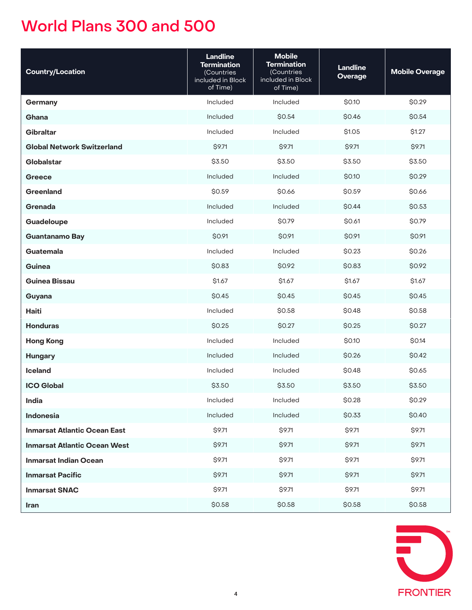| <b>Country/Location</b>             | <b>Landline</b><br><b>Termination</b><br>(Countries<br>included in Block<br>of Time) | <b>Mobile</b><br><b>Termination</b><br>(Countries<br>included in Block<br>of Time) | <b>Landline</b><br><b>Overage</b> | <b>Mobile Overage</b> |
|-------------------------------------|--------------------------------------------------------------------------------------|------------------------------------------------------------------------------------|-----------------------------------|-----------------------|
| Germany                             | Included                                                                             | Included                                                                           | \$0.10                            | \$0.29                |
| Ghana                               | Included                                                                             | \$0.54                                                                             | \$0.46                            | \$0.54                |
| <b>Gibraltar</b>                    | Included                                                                             | Included                                                                           | \$1.05                            | \$1.27                |
| <b>Global Network Switzerland</b>   | \$9.71                                                                               | \$9.71                                                                             | \$9.71                            | \$9.71                |
| Globalstar                          | \$3.50                                                                               | \$3.50                                                                             | \$3.50                            | \$3.50                |
| <b>Greece</b>                       | Included                                                                             | Included                                                                           | \$0.10                            | \$0.29                |
| Greenland                           | \$0.59                                                                               | \$0.66                                                                             | \$0.59                            | \$0.66                |
| Grenada                             | Included                                                                             | Included                                                                           | \$0.44                            | \$0.53                |
| Guadeloupe                          | Included                                                                             | \$0.79                                                                             | \$0.61                            | \$0.79                |
| <b>Guantanamo Bay</b>               | \$0.91                                                                               | \$0.91                                                                             | \$0.91                            | \$0.91                |
| Guatemala                           | Included                                                                             | Included                                                                           | \$0.23                            | \$0.26                |
| Guinea                              | \$0.83                                                                               | \$0.92                                                                             | \$0.83                            | \$0.92                |
| <b>Guinea Bissau</b>                | \$1.67                                                                               | \$1.67                                                                             | \$1.67                            | \$1.67                |
| Guyana                              | \$0.45                                                                               | \$0.45                                                                             | \$0.45                            | \$0.45                |
| <b>Haiti</b>                        | Included                                                                             | \$0.58                                                                             | \$0.48                            | \$0.58                |
| <b>Honduras</b>                     | \$0.25                                                                               | \$0.27                                                                             | \$0.25                            | \$0.27                |
| <b>Hong Kong</b>                    | Included                                                                             | Included                                                                           | \$0.10                            | \$0.14                |
| <b>Hungary</b>                      | Included                                                                             | Included                                                                           | \$0.26                            | \$0.42                |
| <b>Iceland</b>                      | Included                                                                             | Included                                                                           | \$0.48                            | \$0.65                |
| <b>ICO Global</b>                   | \$3.50                                                                               | \$3.50                                                                             | \$3.50                            | \$3.50                |
| India                               | Included                                                                             | Included                                                                           | \$0.28                            | \$0.29                |
| Indonesia                           | Included                                                                             | Included                                                                           | \$0.33                            | \$0.40                |
| <b>Inmarsat Atlantic Ocean East</b> | \$9.71                                                                               | \$9.71                                                                             | \$9.71                            | \$9.71                |
| <b>Inmarsat Atlantic Ocean West</b> | \$9.71                                                                               | \$9.71                                                                             | \$9.71                            | \$9.71                |
| <b>Inmarsat Indian Ocean</b>        | \$9.71                                                                               | \$9.71                                                                             | \$9.71                            | \$9.71                |
| <b>Inmarsat Pacific</b>             | \$9.71                                                                               | \$9.71                                                                             | \$9.71                            | \$9.71                |
| <b>Inmarsat SNAC</b>                | \$9.71                                                                               | \$9.71                                                                             | \$9.71                            | \$9.71                |
| Iran                                | \$0.58                                                                               | \$0.58                                                                             | \$0.58                            | \$0.58                |

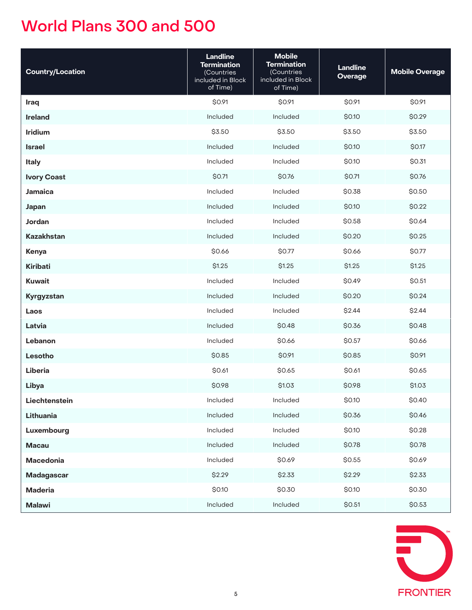| <b>Country/Location</b> | <b>Landline</b><br><b>Termination</b><br>(Countries<br>included in Block<br>of Time) | <b>Mobile</b><br><b>Termination</b><br>(Countries<br>included in Block<br>of Time) | <b>Landline</b><br><b>Overage</b> | <b>Mobile Overage</b> |
|-------------------------|--------------------------------------------------------------------------------------|------------------------------------------------------------------------------------|-----------------------------------|-----------------------|
| Iraq                    | \$0.91                                                                               | \$0.91                                                                             | \$0.91                            | \$0.91                |
| <b>Ireland</b>          | Included                                                                             | Included                                                                           | \$0.10                            | \$0.29                |
| Iridium                 | \$3.50                                                                               | \$3.50                                                                             | \$3.50                            | \$3.50                |
| <b>Israel</b>           | Included                                                                             | Included                                                                           | \$0.10                            | \$0.17                |
| <b>Italy</b>            | Included                                                                             | Included                                                                           | \$0.10                            | \$0.31                |
| <b>Ivory Coast</b>      | \$0.71                                                                               | \$0.76                                                                             | \$0.71                            | \$0.76                |
| <b>Jamaica</b>          | Included                                                                             | Included                                                                           | \$0.38                            | \$0.50                |
| Japan                   | Included                                                                             | Included                                                                           | \$0.10                            | \$0.22                |
| Jordan                  | Included                                                                             | Included                                                                           | \$0.58                            | \$0.64                |
| <b>Kazakhstan</b>       | Included                                                                             | Included                                                                           | \$0.20                            | \$0.25                |
| Kenya                   | \$0.66                                                                               | \$0.77                                                                             | \$0.66                            | \$0.77                |
| Kiribati                | \$1.25                                                                               | \$1.25                                                                             | \$1.25                            | \$1.25                |
| <b>Kuwait</b>           | Included                                                                             | Included                                                                           | \$0.49                            | \$0.51                |
| Kyrgyzstan              | Included                                                                             | Included                                                                           | \$0.20                            | \$0.24                |
| Laos                    | Included                                                                             | Included                                                                           | \$2.44                            | \$2.44                |
| Latvia                  | Included                                                                             | \$0.48                                                                             | \$0.36                            | \$0.48                |
| Lebanon                 | Included                                                                             | \$0.66                                                                             | \$0.57                            | \$0.66                |
| Lesotho                 | \$0.85                                                                               | \$0.91                                                                             | \$0.85                            | \$0.91                |
| Liberia                 | \$0.61                                                                               | \$0.65                                                                             | \$0.61                            | \$0.65                |
| Libya                   | \$0.98                                                                               | \$1.03                                                                             | \$0.98                            | \$1.03                |
| Liechtenstein           | Included                                                                             | Included                                                                           | \$0.10                            | \$0.40                |
| Lithuania               | Included                                                                             | Included                                                                           | \$0.36                            | \$0.46                |
| Luxembourg              | Included                                                                             | Included                                                                           | \$0.10                            | \$0.28                |
| <b>Macau</b>            | Included                                                                             | Included                                                                           | \$0.78                            | \$0.78                |
| Macedonia               | Included                                                                             | \$0.69                                                                             | \$0.55                            | \$0.69                |
| <b>Madagascar</b>       | \$2.29                                                                               | \$2.33                                                                             | \$2.29                            | \$2.33                |
| <b>Maderia</b>          | \$0.10                                                                               | \$0.30                                                                             | \$0.10                            | \$0.30                |
| <b>Malawi</b>           | Included                                                                             | Included                                                                           | \$0.51                            | \$0.53                |

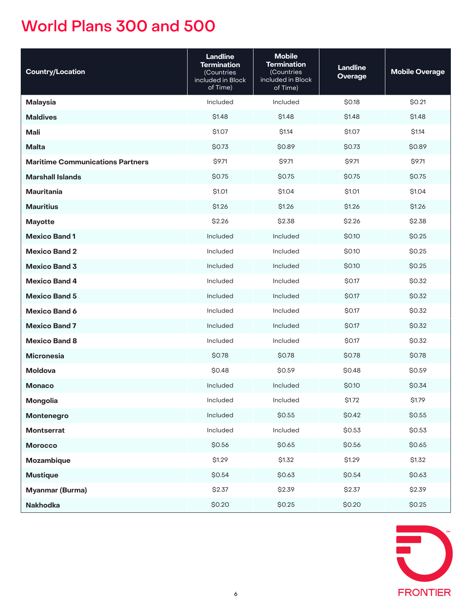| <b>Country/Location</b>                 | <b>Landline</b><br><b>Termination</b><br>(Countries<br>included in Block<br>of Time) | <b>Mobile</b><br><b>Termination</b><br>(Countries<br>included in Block<br>of Time) | <b>Landline</b><br><b>Overage</b> | <b>Mobile Overage</b> |
|-----------------------------------------|--------------------------------------------------------------------------------------|------------------------------------------------------------------------------------|-----------------------------------|-----------------------|
| <b>Malaysia</b>                         | Included                                                                             | Included                                                                           | \$0.18                            | \$0.21                |
| <b>Maldives</b>                         | \$1.48                                                                               | \$1.48                                                                             | \$1.48                            | \$1.48                |
| Mali                                    | \$1.07                                                                               | \$1.14                                                                             | \$1.07                            | \$1.14                |
| <b>Malta</b>                            | \$0.73                                                                               | \$0.89                                                                             | \$0.73                            | \$0.89                |
| <b>Maritime Communications Partners</b> | \$9.71                                                                               | \$9.71                                                                             | \$9.71                            | \$9.71                |
| <b>Marshall Islands</b>                 | \$0.75                                                                               | \$0.75                                                                             | \$0.75                            | \$0.75                |
| <b>Mauritania</b>                       | \$1.01                                                                               | \$1.04                                                                             | \$1.01                            | \$1.04                |
| <b>Mauritius</b>                        | \$1.26                                                                               | \$1.26                                                                             | \$1.26                            | \$1.26                |
| <b>Mayotte</b>                          | \$2.26                                                                               | \$2.38                                                                             | \$2.26                            | \$2.38                |
| <b>Mexico Band 1</b>                    | Included                                                                             | Included                                                                           | \$0.10                            | \$0.25                |
| <b>Mexico Band 2</b>                    | Included                                                                             | Included                                                                           | \$0.10                            | \$0.25                |
| <b>Mexico Band 3</b>                    | Included                                                                             | Included                                                                           | \$0.10                            | \$0.25                |
| <b>Mexico Band 4</b>                    | Included                                                                             | Included                                                                           | \$0.17                            | \$0.32                |
| <b>Mexico Band 5</b>                    | Included                                                                             | Included                                                                           | \$0.17                            | \$0.32                |
| <b>Mexico Band 6</b>                    | Included                                                                             | Included                                                                           | \$0.17                            | \$0.32                |
| <b>Mexico Band 7</b>                    | Included                                                                             | Included                                                                           | \$0.17                            | \$0.32                |
| <b>Mexico Band 8</b>                    | Included                                                                             | Included                                                                           | \$0.17                            | \$0.32                |
| <b>Micronesia</b>                       | \$0.78                                                                               | \$0.78                                                                             | \$0.78                            | \$0.78                |
| <b>Moldova</b>                          | \$0.48                                                                               | \$0.59                                                                             | \$0.48                            | \$0.59                |
| <b>Monaco</b>                           | Included                                                                             | Included                                                                           | \$0.10                            | \$0.34                |
| Mongolia                                | Included                                                                             | Included                                                                           | \$1.72                            | \$1.79                |
| Montenegro                              | Included                                                                             | \$0.55                                                                             | \$0.42                            | \$0.55                |
| <b>Montserrat</b>                       | Included                                                                             | Included                                                                           | \$0.53                            | \$0.53                |
| <b>Morocco</b>                          | \$0.56                                                                               | \$0.65                                                                             | \$0.56                            | \$0.65                |
| Mozambique                              | \$1.29                                                                               | \$1.32                                                                             | \$1.29                            | \$1.32                |
| <b>Mustique</b>                         | \$0.54                                                                               | \$0.63                                                                             | \$0.54                            | \$0.63                |
| <b>Myanmar (Burma)</b>                  | \$2.37                                                                               | \$2.39                                                                             | \$2.37                            | \$2.39                |
| <b>Nakhodka</b>                         | \$0.20                                                                               | \$0.25                                                                             | \$0.20                            | \$0.25                |

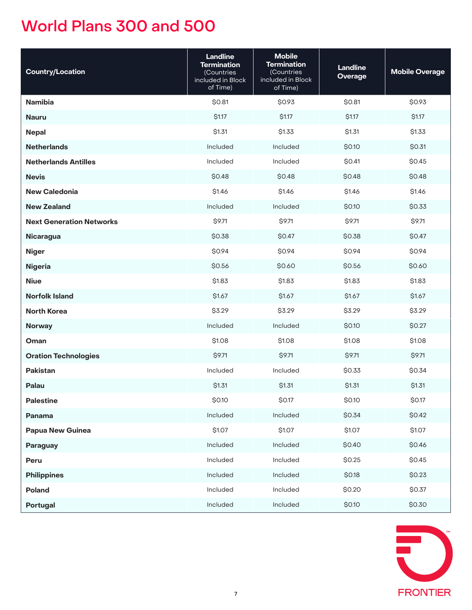| <b>Country/Location</b>         | <b>Landline</b><br><b>Termination</b><br>(Countries<br>included in Block<br>of Time) | <b>Mobile</b><br><b>Termination</b><br>(Countries<br>included in Block<br>of Time) | <b>Landline</b><br><b>Overage</b> | <b>Mobile Overage</b> |
|---------------------------------|--------------------------------------------------------------------------------------|------------------------------------------------------------------------------------|-----------------------------------|-----------------------|
| <b>Namibia</b>                  | \$0.81                                                                               | \$0.93                                                                             | \$0.81                            | \$0.93                |
| <b>Nauru</b>                    | \$1.17                                                                               | \$1.17                                                                             | \$1.17                            | \$1.17                |
| <b>Nepal</b>                    | \$1.31                                                                               | \$1.33                                                                             | \$1.31                            | \$1.33                |
| <b>Netherlands</b>              | Included                                                                             | Included                                                                           | \$0.10                            | \$0.31                |
| <b>Netherlands Antilles</b>     | Included                                                                             | Included                                                                           | \$0.41                            | \$0.45                |
| <b>Nevis</b>                    | \$0.48                                                                               | \$0.48                                                                             | \$0.48                            | \$0.48                |
| <b>New Caledonia</b>            | \$1.46                                                                               | \$1.46                                                                             | \$1.46                            | \$1.46                |
| <b>New Zealand</b>              | Included                                                                             | Included                                                                           | \$0.10                            | \$0.33                |
| <b>Next Generation Networks</b> | \$9.71                                                                               | \$9.71                                                                             | \$9.71                            | \$9.71                |
| <b>Nicaragua</b>                | \$0.38                                                                               | \$0.47                                                                             | \$0.38                            | \$0.47                |
| <b>Niger</b>                    | \$0.94                                                                               | \$0.94                                                                             | \$0.94                            | \$0.94                |
| <b>Nigeria</b>                  | \$0.56                                                                               | \$0.60                                                                             | \$0.56                            | \$0.60                |
| <b>Niue</b>                     | \$1.83                                                                               | \$1.83                                                                             | \$1.83                            | \$1.83                |
| <b>Norfolk Island</b>           | \$1.67                                                                               | \$1.67                                                                             | \$1.67                            | \$1.67                |
| <b>North Korea</b>              | \$3.29                                                                               | \$3.29                                                                             | \$3.29                            | \$3.29                |
| <b>Norway</b>                   | Included                                                                             | Included                                                                           | \$0.10                            | \$0.27                |
| Oman                            | \$1.08                                                                               | \$1.08                                                                             | \$1.08                            | \$1.08                |
| <b>Oration Technologies</b>     | \$9.71                                                                               | \$9.71                                                                             | \$9.71                            | \$9.71                |
| <b>Pakistan</b>                 | Included                                                                             | Included                                                                           | \$0.33                            | \$0.34                |
| Palau                           | \$1.31                                                                               | \$1.31                                                                             | \$1.31                            | \$1.31                |
| <b>Palestine</b>                | \$0.10                                                                               | \$0.17                                                                             | \$0.10                            | \$0.17                |
| Panama                          | Included                                                                             | Included                                                                           | \$0.34                            | \$0.42                |
| Papua New Guinea                | \$1.07                                                                               | \$1.07                                                                             | \$1.07                            | \$1.07                |
| Paraguay                        | Included                                                                             | Included                                                                           | \$0.40                            | \$0.46                |
| Peru                            | Included                                                                             | Included                                                                           | \$0.25                            | \$0.45                |
| <b>Philippines</b>              | Included                                                                             | Included                                                                           | \$0.18                            | \$0.23                |
| Poland                          | Included                                                                             | Included                                                                           | \$0.20                            | \$0.37                |
| <b>Portugal</b>                 | Included                                                                             | Included                                                                           | \$0.10                            | \$0.30                |

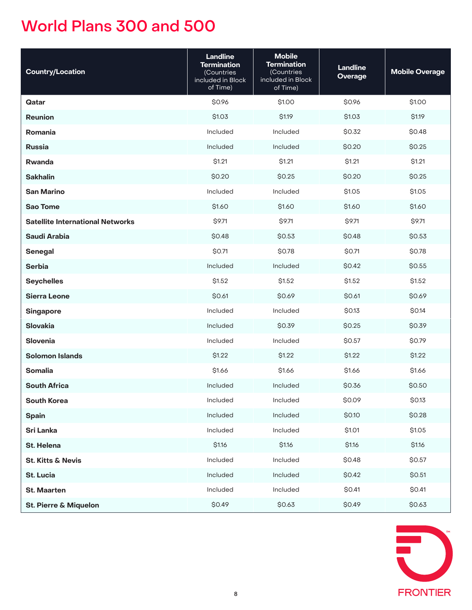| <b>Country/Location</b>                 | <b>Landline</b><br><b>Termination</b><br>(Countries<br>included in Block<br>of Time) | <b>Mobile</b><br><b>Termination</b><br>(Countries<br>included in Block<br>of Time) | <b>Landline</b><br>Overage | <b>Mobile Overage</b> |
|-----------------------------------------|--------------------------------------------------------------------------------------|------------------------------------------------------------------------------------|----------------------------|-----------------------|
| Qatar                                   | \$0.96                                                                               | \$1.00                                                                             | \$0.96                     | \$1.00                |
| <b>Reunion</b>                          | \$1.03                                                                               | \$1.19                                                                             | \$1.03                     | \$1.19                |
| Romania                                 | Included                                                                             | Included                                                                           | \$0.32                     | \$0.48                |
| <b>Russia</b>                           | Included                                                                             | Included                                                                           | \$0.20                     | \$0.25                |
| Rwanda                                  | \$1.21                                                                               | \$1.21                                                                             | \$1.21                     | \$1.21                |
| <b>Sakhalin</b>                         | \$0.20                                                                               | \$0.25                                                                             | \$0.20                     | \$0.25                |
| <b>San Marino</b>                       | Included                                                                             | Included                                                                           | \$1.05                     | \$1.05                |
| <b>Sao Tome</b>                         | \$1.60                                                                               | \$1.60                                                                             | \$1.60                     | \$1.60                |
| <b>Satellite International Networks</b> | \$9.71                                                                               | \$9.71                                                                             | \$9.71                     | \$9.71                |
| <b>Saudi Arabia</b>                     | \$0.48                                                                               | \$0.53                                                                             | \$0.48                     | \$0.53                |
| <b>Senegal</b>                          | \$0.71                                                                               | \$0.78                                                                             | \$0.71                     | \$0.78                |
| <b>Serbia</b>                           | Included                                                                             | Included                                                                           | \$0.42                     | \$0.55                |
| <b>Seychelles</b>                       | \$1.52                                                                               | \$1.52                                                                             | \$1.52                     | \$1.52                |
| <b>Sierra Leone</b>                     | \$0.61                                                                               | \$0.69                                                                             | \$0.61                     | \$0.69                |
| <b>Singapore</b>                        | Included                                                                             | Included                                                                           | \$0.13                     | \$0.14                |
| <b>Slovakia</b>                         | Included                                                                             | \$0.39                                                                             | \$0.25                     | \$0.39                |
| Slovenia                                | Included                                                                             | Included                                                                           | \$0.57                     | \$0.79                |
| <b>Solomon Islands</b>                  | \$1.22                                                                               | \$1.22                                                                             | \$1.22                     | \$1.22                |
| <b>Somalia</b>                          | \$1.66                                                                               | \$1.66                                                                             | \$1.66                     | \$1.66                |
| <b>South Africa</b>                     | Included                                                                             | Included                                                                           | \$0.36                     | \$0.50                |
| <b>South Korea</b>                      | Included                                                                             | Included                                                                           | \$0.09                     | \$0.13                |
| <b>Spain</b>                            | Included                                                                             | Included                                                                           | \$0.10                     | \$0.28                |
| <b>Sri Lanka</b>                        | Included                                                                             | Included                                                                           | \$1.01                     | \$1.05                |
| St. Helena                              | \$1.16                                                                               | \$1.16                                                                             | \$1.16                     | \$1.16                |
| <b>St. Kitts &amp; Nevis</b>            | Included                                                                             | Included                                                                           | \$0.48                     | \$0.57                |
| <b>St. Lucia</b>                        | Included                                                                             | Included                                                                           | \$0.42                     | \$0.51                |
| <b>St. Maarten</b>                      | Included                                                                             | Included                                                                           | \$0.41                     | \$0.41                |
| <b>St. Pierre &amp; Miquelon</b>        | \$0.49                                                                               | \$0.63                                                                             | \$0.49                     | \$0.63                |

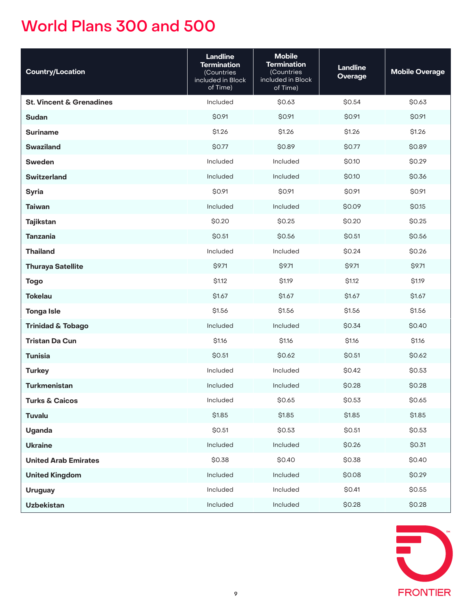| <b>Country/Location</b>             | <b>Landline</b><br><b>Termination</b><br>(Countries<br>included in Block<br>of Time) | <b>Mobile</b><br><b>Termination</b><br>(Countries<br>included in Block<br>of Time) | <b>Landline</b><br><b>Overage</b> | <b>Mobile Overage</b> |
|-------------------------------------|--------------------------------------------------------------------------------------|------------------------------------------------------------------------------------|-----------------------------------|-----------------------|
| <b>St. Vincent &amp; Grenadines</b> | Included                                                                             | \$0.63                                                                             | \$0.54                            | \$0.63                |
| <b>Sudan</b>                        | \$0.91                                                                               | \$0.91                                                                             | \$0.91                            | \$0.91                |
| <b>Suriname</b>                     | \$1.26                                                                               | \$1.26                                                                             | \$1.26                            | \$1.26                |
| <b>Swaziland</b>                    | \$0.77                                                                               | \$0.89                                                                             | \$0.77                            | \$0.89                |
| <b>Sweden</b>                       | Included                                                                             | Included                                                                           | \$0.10                            | \$0.29                |
| <b>Switzerland</b>                  | Included                                                                             | Included                                                                           | \$0.10                            | \$0.36                |
| <b>Syria</b>                        | \$0.91                                                                               | \$0.91                                                                             | \$0.91                            | \$0.91                |
| <b>Taiwan</b>                       | Included                                                                             | Included                                                                           | \$0.09                            | \$0.15                |
| <b>Tajikstan</b>                    | \$0.20                                                                               | \$0.25                                                                             | \$0.20                            | \$0.25                |
| <b>Tanzania</b>                     | \$0.51                                                                               | \$0.56                                                                             | \$0.51                            | \$0.56                |
| <b>Thailand</b>                     | Included                                                                             | Included                                                                           | \$0.24                            | \$0.26                |
| <b>Thuraya Satellite</b>            | \$9.71                                                                               | <b>\$9.71</b>                                                                      | <b>\$9.71</b>                     | \$9.71                |
| <b>Togo</b>                         | \$1.12                                                                               | <b>S1.19</b>                                                                       | \$1.12                            | \$1.19                |
| <b>Tokelau</b>                      | \$1.67                                                                               | \$1.67                                                                             | \$1.67                            | \$1.67                |
| <b>Tonga Isle</b>                   | \$1.56                                                                               | \$1.56                                                                             | \$1.56                            | \$1.56                |
| <b>Trinidad &amp; Tobago</b>        | Included                                                                             | Included                                                                           | \$0.34                            | \$0.40                |
| <b>Tristan Da Cun</b>               | \$1.16                                                                               | \$1.16                                                                             | \$1.16                            | \$1.16                |
| <b>Tunisia</b>                      | \$0.51                                                                               | \$0.62                                                                             | \$0.51                            | \$0.62                |
| <b>Turkey</b>                       | Included                                                                             | Included                                                                           | \$0.42                            | \$0.53                |
| <b>Turkmenistan</b>                 | Included                                                                             | Included                                                                           | \$0.28                            | \$0.28                |
| <b>Turks &amp; Caicos</b>           | Included                                                                             | \$0.65                                                                             | \$0.53                            | \$0.65                |
| <b>Tuvalu</b>                       | \$1.85                                                                               | \$1.85                                                                             | \$1.85                            | \$1.85                |
| <b>Uganda</b>                       | \$0.51                                                                               | \$0.53                                                                             | \$0.51                            | \$0.53                |
| <b>Ukraine</b>                      | Included                                                                             | Included                                                                           | \$0.26                            | \$0.31                |
| <b>United Arab Emirates</b>         | \$0.38                                                                               | \$0.40                                                                             | \$0.38                            | \$0.40                |
| <b>United Kingdom</b>               | Included                                                                             | Included                                                                           | \$0.08                            | \$0.29                |
| <b>Uruguay</b>                      | Included                                                                             | Included                                                                           | \$0.41                            | \$0.55                |
| <b>Uzbekistan</b>                   | Included                                                                             | Included                                                                           | \$0.28                            | \$0.28                |